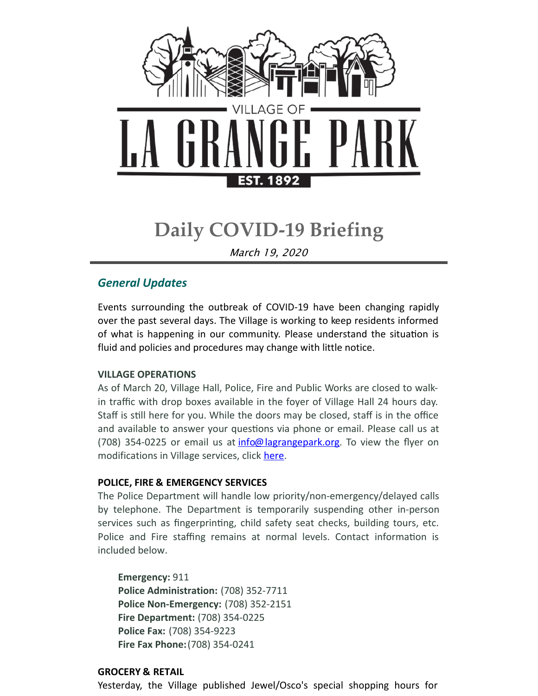

# **Daily COVID-19 Briefing**

March 19, 2020

### *General Updates*

Events surrounding the outbreak of COVID-19 have been changing rapidly over the past several days. The Village is working to keep residents informed of what is happening in our community. Please understand the situation is fluid and policies and procedures may change with little notice.

#### **VILLAGE OPERATIONS**

As of March 20, Village Hall, Police, Fire and Public Works are closed to walkin traffic with drop boxes available in the foyer of Village Hall 24 hours day. Staff is still here for you. While the doors may be closed, staff is in the office and available to answer your questions via phone or email. Please call us at (708) 354-0225 or email us at  $\frac{info@$  lagrangepark.org. To view the flyer on modifications in Village services, click [here](https://files.constantcontact.com/fac2adf0101/7ace55d1-5b94-4390-a7fb-cb03633be03c.pdf).

#### **POLICE, FIRE & EMERGENCY SERVICES**

The Police Department will handle low priority/non-emergency/delayed calls by telephone. The Department is temporarily suspending other in-person services such as fingerprinting, child safety seat checks, building tours, etc. Police and Fire staffing remains at normal levels. Contact information is included below.

#### **Emergency:** 911

**Police Administration:** (708) 352-7711 **Police Non-Emergency:** (708) 352-2151 **Fire Department:** (708) 354-0225 **Police Fax:** (708) 354-9223 **Fire Fax Phone:**(708) 354-0241

#### **GROCERY & RETAIL**

Yesterday, the Village published Jewel/Osco's special shopping hours for